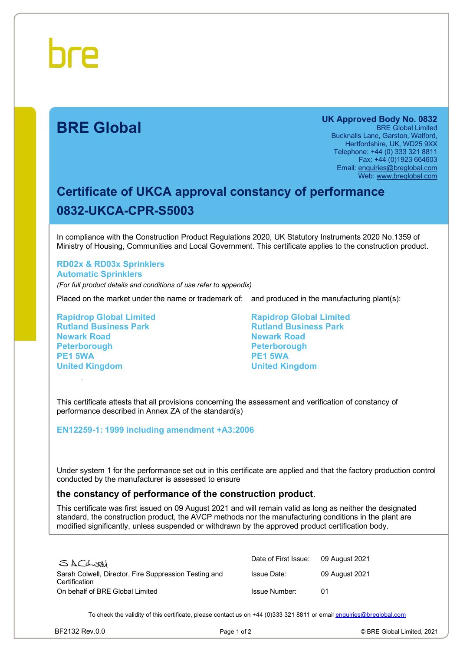# **BRE Global**

**UK Approved Body No. 0832**  BRE Global Limited Bucknalls Lane, Garston, Watford, Hertfordshire, UK, WD25 9XX Telephone: +44 (0) 333 321 8811 Fax: +44 (0)1923 664603 Email: [enquiries@breglobal.com](mailto:enquiries@breglobal.com) Web: [www.breglobal.com](http://www.breglobal.com)

# **Certificate of UKCA approval constancy of performance 0832-UKCA-CPR-S5003**

In compliance with the Construction Product Regulations 2020, UK Statutory Instruments 2020 No.1359 of Ministry of Housing, Communities and Local Government. This certificate applies to the construction product.

## **RD02x & RD03x Sprinklers Automatic Sprinklers**

*(For full product details and conditions of use refer to appendix)*

Placed on the market under the name or trademark of: and produced in the manufacturing plant(s):

**Rapidrop Global Limited Rutland Business Park Newark Road Peterborough PE1 5WA United Kingdom**

**Rapidrop Global Limited Rutland Business Park Newark Road Peterborough PE1 5WA United Kingdom**

This certificate attests that all provisions concerning the assessment and verification of constancy of performance described in Annex ZA of the standard(s)

### **EN12259-1: 1999 including amendment +A3:2006**

Under system 1 for the performance set out in this certificate are applied and that the factory production control conducted by the manufacturer is assessed to ensure

### **the constancy of performance of the construction product**.

This certificate was first issued on 09 August 2021 and will remain valid as long as neither the designated standard, the construction product, the AVCP methods nor the manufacturing conditions in the plant are modified significantly, unless suspended or withdrawn by the approved product certification body.

| SACLUAL                                                                | Date of First Issue: | 09 August 2021 |
|------------------------------------------------------------------------|----------------------|----------------|
| Sarah Colwell, Director, Fire Suppression Testing and<br>Certification | <b>Issue Date:</b>   | 09 August 2021 |
| On behalf of BRE Global Limited                                        | Issue Number:        | በ1             |

To check the validity of this certificate, please contact us on +44 (0)333 321 8811 or email [enquiries@breglobal.com](mailto:enquiries@breglobal.com)